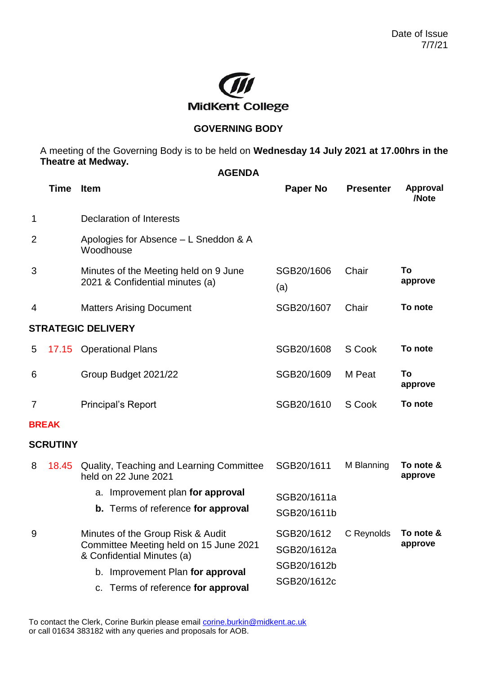

## **GOVERNING BODY**

A meeting of the Governing Body is to be held on **Wednesday 14 July 2021 at 17.00hrs in the Theatre at Medway. AGENDA**

|                | <b>Time</b>     | <b>Item</b>                                                                                               | Paper No                                                                     | <b>Presenter</b> | <b>Approval</b><br>/Note |  |  |  |  |
|----------------|-----------------|-----------------------------------------------------------------------------------------------------------|------------------------------------------------------------------------------|------------------|--------------------------|--|--|--|--|
| 1              |                 | <b>Declaration of Interests</b>                                                                           |                                                                              |                  |                          |  |  |  |  |
| $\overline{2}$ |                 | Apologies for Absence – L Sneddon & A<br>Woodhouse                                                        |                                                                              |                  |                          |  |  |  |  |
| 3              |                 | Minutes of the Meeting held on 9 June<br>2021 & Confidential minutes (a)                                  | SGB20/1606<br>(a)                                                            | Chair            | To<br>approve            |  |  |  |  |
| 4              |                 | <b>Matters Arising Document</b>                                                                           | SGB20/1607                                                                   | Chair            | To note                  |  |  |  |  |
|                |                 | <b>STRATEGIC DELIVERY</b>                                                                                 |                                                                              |                  |                          |  |  |  |  |
| 5              |                 | 17.15 Operational Plans                                                                                   | SGB20/1608                                                                   | S Cook           | To note                  |  |  |  |  |
| 6              |                 | Group Budget 2021/22                                                                                      | SGB20/1609                                                                   | M Peat           | To<br>approve            |  |  |  |  |
| 7              |                 | <b>Principal's Report</b>                                                                                 | SGB20/1610                                                                   | S Cook           | To note                  |  |  |  |  |
|                | <b>BREAK</b>    |                                                                                                           |                                                                              |                  |                          |  |  |  |  |
|                | <b>SCRUTINY</b> |                                                                                                           |                                                                              |                  |                          |  |  |  |  |
| 8              | 18.45           | Quality, Teaching and Learning Committee<br>held on 22 June 2021                                          | SGB20/1611                                                                   | M Blanning       | To note &<br>approve     |  |  |  |  |
|                |                 | a. Improvement plan for approval                                                                          | SGB20/1611a                                                                  |                  |                          |  |  |  |  |
|                |                 | <b>b.</b> Terms of reference for approval                                                                 | SGB20/1611b                                                                  |                  |                          |  |  |  |  |
| 9              |                 | Minutes of the Group Risk & Audit<br>Committee Meeting held on 15 June 2021<br>& Confidential Minutes (a) | SGB20/1612 C Reynolds To note &<br>SGB20/1612a<br>SGB20/1612b<br>SGB20/1612c |                  | approve                  |  |  |  |  |
|                |                 | b. Improvement Plan for approval                                                                          |                                                                              |                  |                          |  |  |  |  |
|                |                 | c. Terms of reference for approval                                                                        |                                                                              |                  |                          |  |  |  |  |